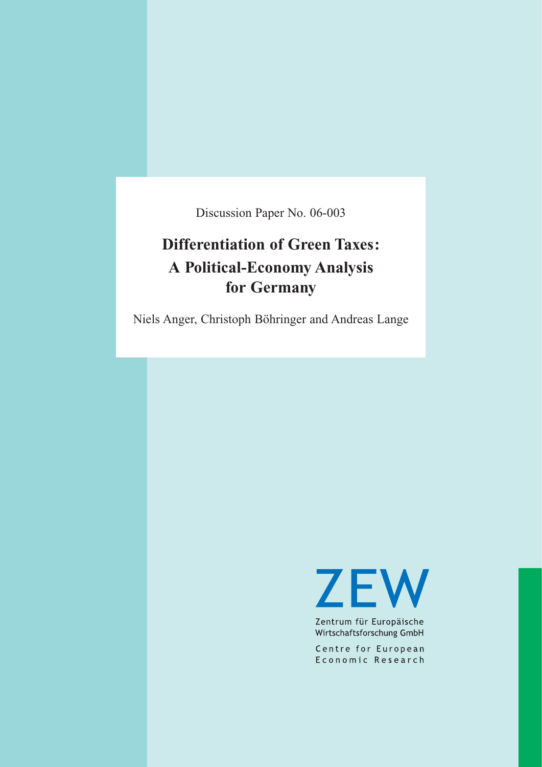Discussion Paper No. 06-003

# **Differentiation of Green Taxes: A Political-Economy Analysis for Germany**

Niels Anger, Christoph Böhringer and Andreas Lange

**ZEW** 

Zentrum für Europäische Wirtschaftsforschung GmbH

Centre for European Economic Research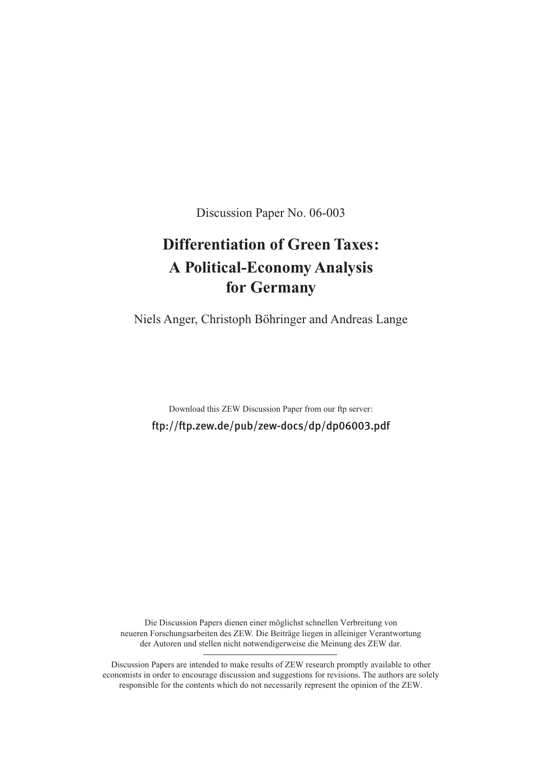Discussion Paper No. 06-003

## **Differentiation of Green Taxes: A Political-Economy Analysis for Germany**

Niels Anger, Christoph Böhringer and Andreas Lange

Download this ZEW Discussion Paper from our ftp server: ftp://ftp.zew.de/pub/zew-docs/dp/dp06003.pdf

Die Discussion Papers dienen einer möglichst schnellen Verbreitung von neueren Forschungsarbeiten des ZEW. Die Beiträge liegen in alleiniger Verantwortung der Autoren und stellen nicht notwendigerweise die Meinung des ZEW dar.

Discussion Papers are intended to make results of ZEW research promptly available to other economists in order to encourage discussion and suggestions for revisions. The authors are solely responsible for the contents which do not necessarily represent the opinion of the ZEW.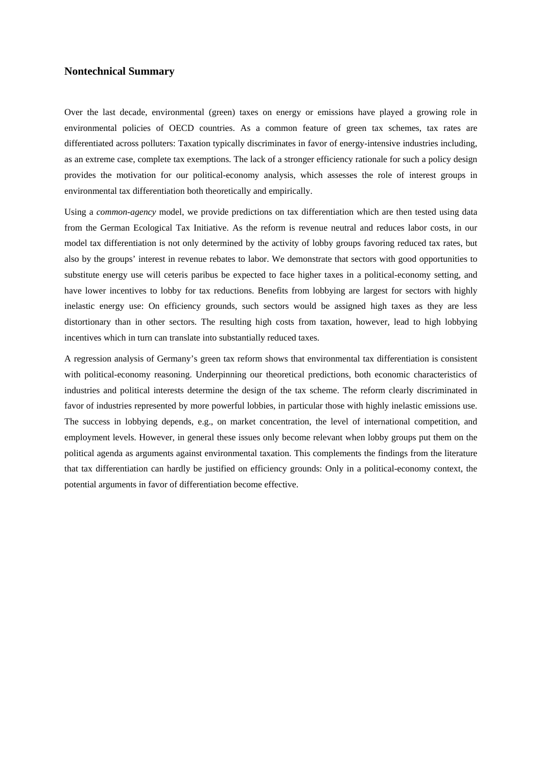### **Nontechnical Summary**

Over the last decade, environmental (green) taxes on energy or emissions have played a growing role in environmental policies of OECD countries. As a common feature of green tax schemes, tax rates are differentiated across polluters: Taxation typically discriminates in favor of energy-intensive industries including, as an extreme case, complete tax exemptions. The lack of a stronger efficiency rationale for such a policy design provides the motivation for our political-economy analysis, which assesses the role of interest groups in environmental tax differentiation both theoretically and empirically.

Using a *common-agency* model, we provide predictions on tax differentiation which are then tested using data from the German Ecological Tax Initiative. As the reform is revenue neutral and reduces labor costs, in our model tax differentiation is not only determined by the activity of lobby groups favoring reduced tax rates, but also by the groups' interest in revenue rebates to labor. We demonstrate that sectors with good opportunities to substitute energy use will ceteris paribus be expected to face higher taxes in a political-economy setting, and have lower incentives to lobby for tax reductions. Benefits from lobbying are largest for sectors with highly inelastic energy use: On efficiency grounds, such sectors would be assigned high taxes as they are less distortionary than in other sectors. The resulting high costs from taxation, however, lead to high lobbying incentives which in turn can translate into substantially reduced taxes.

A regression analysis of Germany's green tax reform shows that environmental tax differentiation is consistent with political-economy reasoning. Underpinning our theoretical predictions, both economic characteristics of industries and political interests determine the design of the tax scheme. The reform clearly discriminated in favor of industries represented by more powerful lobbies, in particular those with highly inelastic emissions use. The success in lobbying depends, e.g., on market concentration, the level of international competition, and employment levels. However, in general these issues only become relevant when lobby groups put them on the political agenda as arguments against environmental taxation. This complements the findings from the literature that tax differentiation can hardly be justified on efficiency grounds: Only in a political-economy context, the potential arguments in favor of differentiation become effective.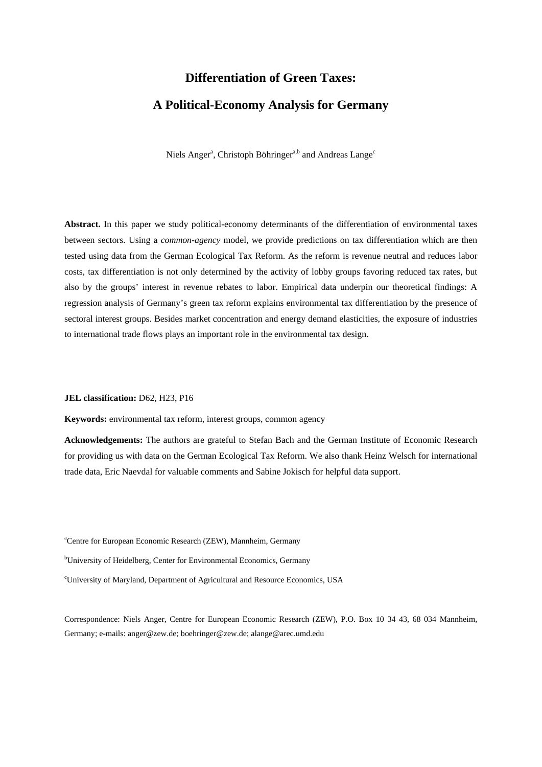## **Differentiation of Green Taxes: A Political-Economy Analysis for Germany**

Niels Anger<sup>a</sup>, Christoph Böhringer<sup>a,b</sup> and Andreas Lange<sup>c</sup>

**Abstract.** In this paper we study political-economy determinants of the differentiation of environmental taxes between sectors. Using a *common-agency* model, we provide predictions on tax differentiation which are then tested using data from the German Ecological Tax Reform. As the reform is revenue neutral and reduces labor costs, tax differentiation is not only determined by the activity of lobby groups favoring reduced tax rates, but also by the groups' interest in revenue rebates to labor. Empirical data underpin our theoretical findings: A regression analysis of Germany's green tax reform explains environmental tax differentiation by the presence of sectoral interest groups. Besides market concentration and energy demand elasticities, the exposure of industries to international trade flows plays an important role in the environmental tax design.

#### **JEL classification:** D62, H23, P16

**Keywords:** environmental tax reform, interest groups, common agency

**Acknowledgements:** The authors are grateful to Stefan Bach and the German Institute of Economic Research for providing us with data on the German Ecological Tax Reform. We also thank Heinz Welsch for international trade data, Eric Naevdal for valuable comments and Sabine Jokisch for helpful data support.

a Centre for European Economic Research (ZEW), Mannheim, Germany

<sup>b</sup>University of Heidelberg, Center for Environmental Economics, Germany

c University of Maryland, Department of Agricultural and Resource Economics, USA

Correspondence: Niels Anger, Centre for European Economic Research (ZEW), P.O. Box 10 34 43, 68 034 Mannheim, Germany; e-mails: anger@zew.de; boehringer@zew.de; alange@arec.umd.edu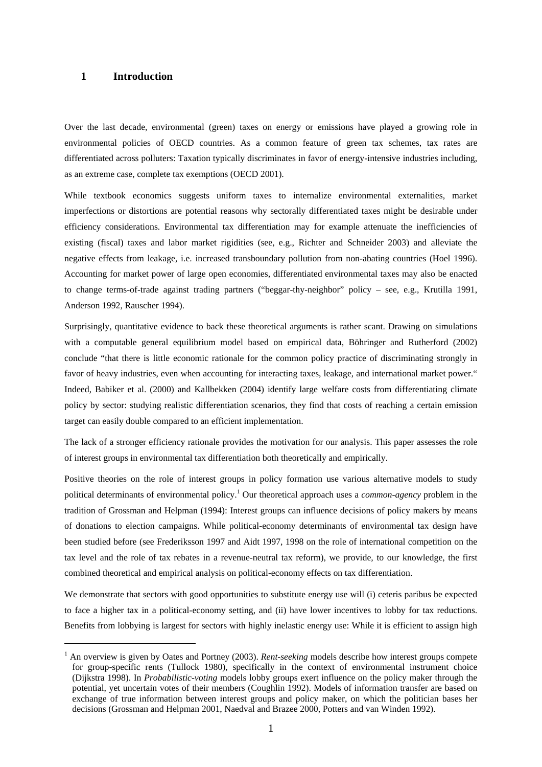## **1 Introduction**

1

Over the last decade, environmental (green) taxes on energy or emissions have played a growing role in environmental policies of OECD countries. As a common feature of green tax schemes, tax rates are differentiated across polluters: Taxation typically discriminates in favor of energy-intensive industries including, as an extreme case, complete tax exemptions (OECD 2001).

While textbook economics suggests uniform taxes to internalize environmental externalities, market imperfections or distortions are potential reasons why sectorally differentiated taxes might be desirable under efficiency considerations. Environmental tax differentiation may for example attenuate the inefficiencies of existing (fiscal) taxes and labor market rigidities (see, e.g., Richter and Schneider 2003) and alleviate the negative effects from leakage, i.e. increased transboundary pollution from non-abating countries (Hoel 1996). Accounting for market power of large open economies, differentiated environmental taxes may also be enacted to change terms-of-trade against trading partners ("beggar-thy-neighbor" policy – see, e.g., Krutilla 1991, Anderson 1992, Rauscher 1994).

Surprisingly, quantitative evidence to back these theoretical arguments is rather scant. Drawing on simulations with a computable general equilibrium model based on empirical data, Böhringer and Rutherford (2002) conclude "that there is little economic rationale for the common policy practice of discriminating strongly in favor of heavy industries, even when accounting for interacting taxes, leakage, and international market power." Indeed, Babiker et al. (2000) and Kallbekken (2004) identify large welfare costs from differentiating climate policy by sector: studying realistic differentiation scenarios, they find that costs of reaching a certain emission target can easily double compared to an efficient implementation.

The lack of a stronger efficiency rationale provides the motivation for our analysis. This paper assesses the role of interest groups in environmental tax differentiation both theoretically and empirically.

Positive theories on the role of interest groups in policy formation use various alternative models to study political determinants of environmental policy.<sup>1</sup> Our theoretical approach uses a *common-agency* problem in the tradition of Grossman and Helpman (1994): Interest groups can influence decisions of policy makers by means of donations to election campaigns. While political-economy determinants of environmental tax design have been studied before (see Frederiksson 1997 and Aidt 1997, 1998 on the role of international competition on the tax level and the role of tax rebates in a revenue-neutral tax reform), we provide, to our knowledge, the first combined theoretical and empirical analysis on political-economy effects on tax differentiation.

We demonstrate that sectors with good opportunities to substitute energy use will (i) ceteris paribus be expected to face a higher tax in a political-economy setting, and (ii) have lower incentives to lobby for tax reductions. Benefits from lobbying is largest for sectors with highly inelastic energy use: While it is efficient to assign high

<sup>&</sup>lt;sup>1</sup> An overview is given by Oates and Portney (2003). *Rent-seeking* models describe how interest groups compete for group-specific rents (Tullock 1980), specifically in the context of environmental instrument choice (Dijkstra 1998). In *Probabilistic-voting* models lobby groups exert influence on the policy maker through the potential, yet uncertain votes of their members (Coughlin 1992). Models of information transfer are based on exchange of true information between interest groups and policy maker, on which the politician bases her decisions (Grossman and Helpman 2001, Naedval and Brazee 2000, Potters and van Winden 1992).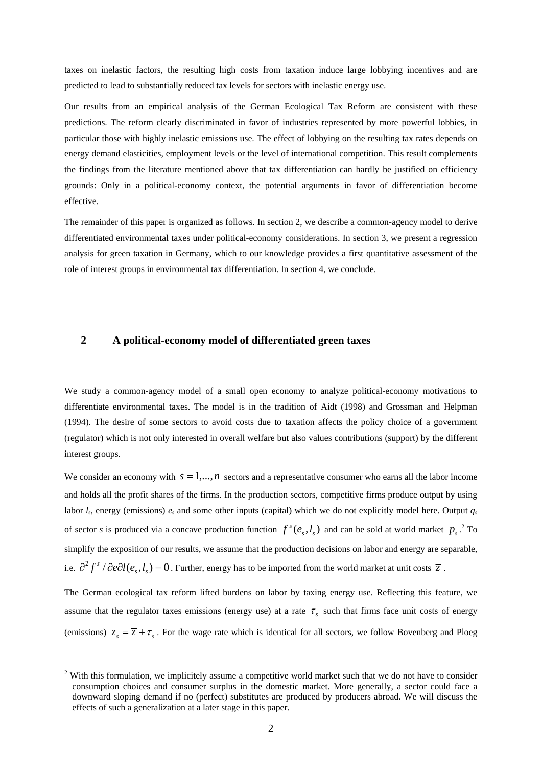taxes on inelastic factors, the resulting high costs from taxation induce large lobbying incentives and are predicted to lead to substantially reduced tax levels for sectors with inelastic energy use.

Our results from an empirical analysis of the German Ecological Tax Reform are consistent with these predictions. The reform clearly discriminated in favor of industries represented by more powerful lobbies, in particular those with highly inelastic emissions use. The effect of lobbying on the resulting tax rates depends on energy demand elasticities, employment levels or the level of international competition. This result complements the findings from the literature mentioned above that tax differentiation can hardly be justified on efficiency grounds: Only in a political-economy context, the potential arguments in favor of differentiation become effective.

The remainder of this paper is organized as follows. In section 2, we describe a common-agency model to derive differentiated environmental taxes under political-economy considerations. In section 3, we present a regression analysis for green taxation in Germany, which to our knowledge provides a first quantitative assessment of the role of interest groups in environmental tax differentiation. In section 4, we conclude.

## **2 A political-economy model of differentiated green taxes**

We study a common-agency model of a small open economy to analyze political-economy motivations to differentiate environmental taxes. The model is in the tradition of Aidt (1998) and Grossman and Helpman (1994). The desire of some sectors to avoid costs due to taxation affects the policy choice of a government (regulator) which is not only interested in overall welfare but also values contributions (support) by the different interest groups.

We consider an economy with  $s = 1,...,n$  sectors and a representative consumer who earns all the labor income and holds all the profit shares of the firms. In the production sectors, competitive firms produce output by using labor *ls*, energy (emissions) *es* and some other inputs (capital) which we do not explicitly model here. Output *qs* of sector *s* is produced via a concave production function  $f^s(e_s, l_s)$  and can be sold at world market  $p_s$ .<sup>2</sup> To simplify the exposition of our results, we assume that the production decisions on labor and energy are separable, i.e.  $\partial^2 f^s / \partial e \partial l(e_s, l_s) = 0$ . Further, energy has to be imported from the world market at unit costs  $\bar{z}$ .

The German ecological tax reform lifted burdens on labor by taxing energy use. Reflecting this feature, we assume that the regulator taxes emissions (energy use) at a rate  $\tau_s$  such that firms face unit costs of energy (emissions)  $z_{s} = \overline{z} + \tau_{s}$ . For the wage rate which is identical for all sectors, we follow Bovenberg and Ploeg

1

 $2$  With this formulation, we implicitely assume a competitive world market such that we do not have to consider consumption choices and consumer surplus in the domestic market. More generally, a sector could face a downward sloping demand if no (perfect) substitutes are produced by producers abroad. We will discuss the effects of such a generalization at a later stage in this paper.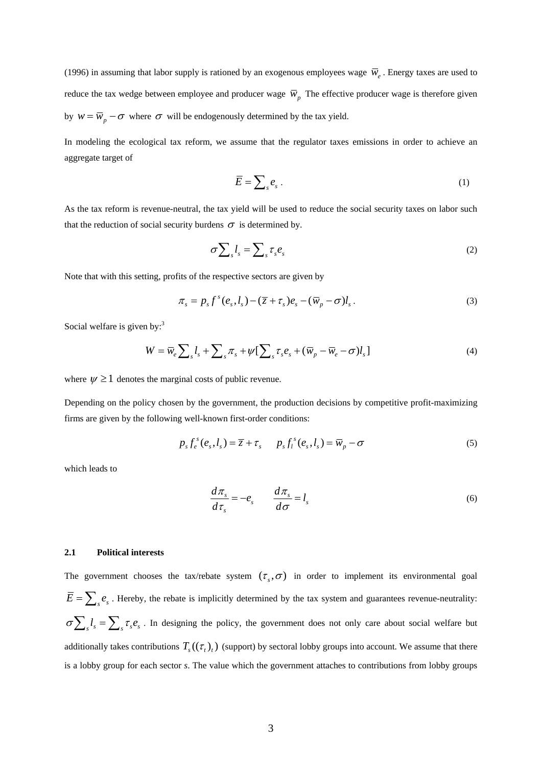(1996) in assuming that labor supply is rationed by an exogenous employees wage  $\bar{w}_e$ . Energy taxes are used to reduce the tax wedge between employee and producer wage  $\overline{w}_n$ . The effective producer wage is therefore given by  $w = \overline{w}_p - \sigma$  where  $\sigma$  will be endogenously determined by the tax yield.

In modeling the ecological tax reform, we assume that the regulator taxes emissions in order to achieve an aggregate target of

$$
\overline{E} = \sum_{s} e_s \,. \tag{1}
$$

As the tax reform is revenue-neutral, the tax yield will be used to reduce the social security taxes on labor such that the reduction of social security burdens  $\sigma$  is determined by.

$$
\sigma \sum_{s} l_{s} = \sum_{s} \tau_{s} e_{s} \tag{2}
$$

Note that with this setting, profits of the respective sectors are given by

$$
\pi_s = p_s f^s(e_s, l_s) - (\overline{z} + \tau_s)e_s - (\overline{w}_p - \sigma)l_s. \tag{3}
$$

Social welfare is given by:<sup>3</sup>

$$
W = \overline{w}_e \sum_s l_s + \sum_s \pi_s + \psi \left[ \sum_s \tau_s e_s + (\overline{w}_p - \overline{w}_e - \sigma) l_s \right]
$$
(4)

where  $\psi \geq 1$  denotes the marginal costs of public revenue.

Depending on the policy chosen by the government, the production decisions by competitive profit-maximizing firms are given by the following well-known first-order conditions:

$$
p_s f_e^s(e_s, l_s) = \overline{z} + \tau_s \qquad p_s f_l^s(e_s, l_s) = \overline{w}_p - \sigma \tag{5}
$$

which leads to

$$
\frac{d\pi_s}{d\tau_s} = -e_s \qquad \frac{d\pi_s}{d\sigma} = l_s \tag{6}
$$

## **2.1 Political interests**

The government chooses the tax/rebate system  $(\tau, \sigma)$  in order to implement its environmental goal  $\overline{E} = \sum_{s} e_s$ . Hereby, the rebate is implicitly determined by the tax system and guarantees revenue-neutrality:  $\sigma \sum_{s} l_s = \sum_{s} \tau_s e_s$ . In designing the policy, the government does not only care about social welfare but additionally takes contributions  $T_s((\tau_t)_t)$  (support) by sectoral lobby groups into account. We assume that there is a lobby group for each sector *s*. The value which the government attaches to contributions from lobby groups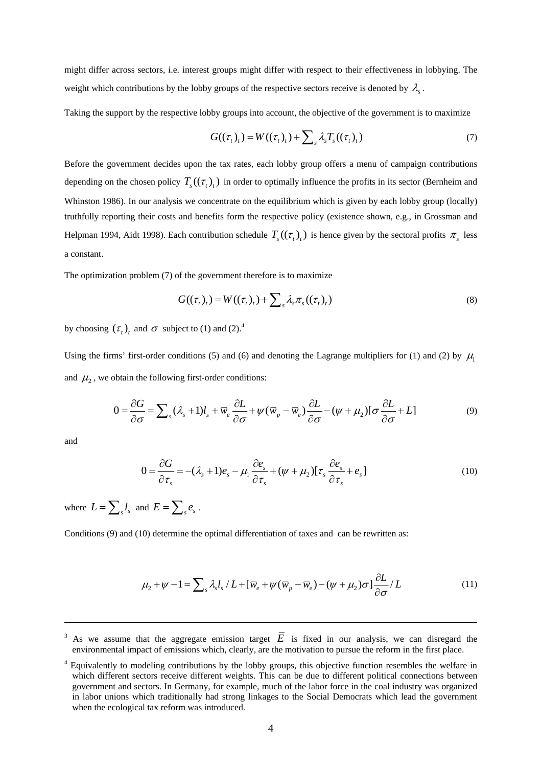might differ across sectors, i.e. interest groups might differ with respect to their effectiveness in lobbying. The weight which contributions by the lobby groups of the respective sectors receive is denoted by  $\lambda_{\rm s}$ .

Taking the support by the respective lobby groups into account, the objective of the government is to maximize

$$
G((\tau_t)_t) = W((\tau_t)_t) + \sum_s \lambda_s T_s((\tau_t)_t) \tag{7}
$$

Before the government decides upon the tax rates, each lobby group offers a menu of campaign contributions depending on the chosen policy  $T_s((\tau_t)_t)$  in order to optimally influence the profits in its sector (Bernheim and Whinston 1986). In our analysis we concentrate on the equilibrium which is given by each lobby group (locally) truthfully reporting their costs and benefits form the respective policy (existence shown, e.g., in Grossman and Helpman 1994, Aidt 1998). Each contribution schedule  $T_s((\tau_t)_t)$  is hence given by the sectoral profits  $\pi_s$  less a constant.

The optimization problem (7) of the government therefore is to maximize

$$
G((\tau_t)_t) = W((\tau_t)_t) + \sum_{s} \lambda_s \pi_s((\tau_t)_t)
$$
\n(8)

by choosing  $(\tau_t)$ <sub>t</sub> and  $\sigma$  subject to (1) and (2).<sup>4</sup>

Using the firms' first-order conditions (5) and (6) and denoting the Lagrange multipliers for (1) and (2) by  $\mu_1$ and  $\mu_2$ , we obtain the following first-order conditions:

$$
0 = \frac{\partial G}{\partial \sigma} = \sum_{s} (\lambda_{s} + 1)l_{s} + \overline{w}_{e} \frac{\partial L}{\partial \sigma} + \psi (\overline{w}_{p} - \overline{w}_{e}) \frac{\partial L}{\partial \sigma} - (\psi + \mu_{2}) [\sigma \frac{\partial L}{\partial \sigma} + L] \tag{9}
$$

and

1

$$
0 = \frac{\partial G}{\partial \tau_s} = -(\lambda_s + 1)e_s - \mu_1 \frac{\partial e_s}{\partial \tau_s} + (\psi + \mu_2)[\tau_s \frac{\partial e_s}{\partial \tau_s} + e_s]
$$
(10)

where  $L = \sum_{s} l_s$  and  $E = \sum_{s} e_s$ .

Conditions (9) and (10) determine the optimal differentiation of taxes and can be rewritten as:

$$
\mu_2 + \psi - 1 = \sum_s \lambda_s l_s / L + [\overline{w}_e + \psi(\overline{w}_p - \overline{w}_e) - (\psi + \mu_2)\sigma] \frac{\partial L}{\partial \sigma} / L
$$
\n(11)

 $3$  As we assume that the aggregate emission target  $E$  is fixed in our analysis, we can disregard the environmental impact of emissions which, clearly, are the motivation to pursue the reform in the first place.

<sup>&</sup>lt;sup>4</sup> Equivalently to modeling contributions by the lobby groups, this objective function resembles the welfare in which different sectors receive different weights. This can be due to different political connections between government and sectors. In Germany, for example, much of the labor force in the coal industry was organized in labor unions which traditionally had strong linkages to the Social Democrats which lead the government when the ecological tax reform was introduced.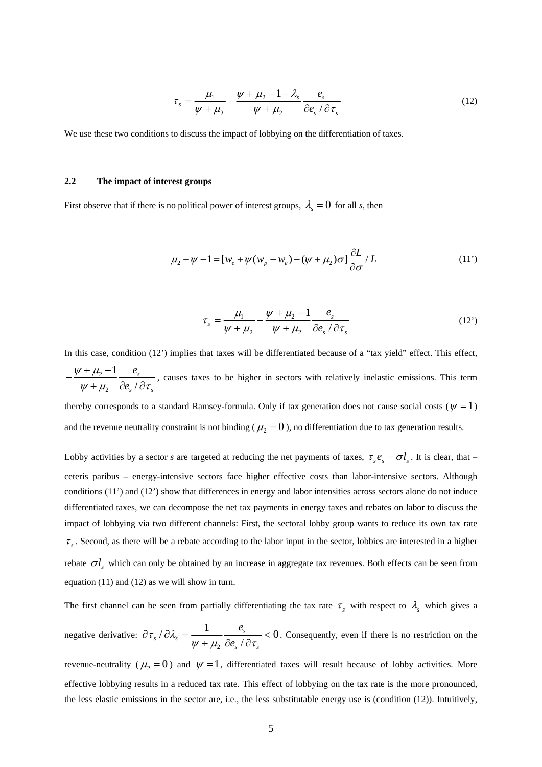$$
\tau_s = \frac{\mu_1}{\psi + \mu_2} - \frac{\psi + \mu_2 - 1 - \lambda_s}{\psi + \mu_2} \frac{e_s}{\partial e_s / \partial \tau_s}
$$
(12)

We use these two conditions to discuss the impact of lobbying on the differentiation of taxes.

#### **2.2 The impact of interest groups**

First observe that if there is no political power of interest groups,  $\lambda_{\rm s} = 0$  for all *s*, then

$$
\mu_2 + \psi - 1 = [\overline{w}_e + \psi(\overline{w}_p - \overline{w}_e) - (\psi + \mu_2)\sigma] \frac{\partial L}{\partial \sigma} / L
$$
\n(11')

$$
\tau_s = \frac{\mu_1}{\psi + \mu_2} - \frac{\psi + \mu_2 - 1}{\psi + \mu_2} \frac{e_s}{\partial e_s / \partial \tau_s}
$$
(12')

In this case, condition (12') implies that taxes will be differentiated because of a "tax yield" effect. This effect, 2 2 1 / *s s s e e*  $\psi + \mu$  $-\frac{\psi+\mu_2-1}{\psi+\mu_2}\frac{e_s}{\partial e_s/\partial \tau_s}$ , causes taxes to be higher in sectors with relatively inelastic emissions. This term

thereby corresponds to a standard Ramsey-formula. Only if tax generation does not cause social costs ( $\psi$  = 1) and the revenue neutrality constraint is not binding ( $\mu_2 = 0$ ), no differentiation due to tax generation results.

Lobby activities by a sector *s* are targeted at reducing the net payments of taxes,  $\tau_s e_s - \sigma l_s$ . It is clear, that – ceteris paribus – energy-intensive sectors face higher effective costs than labor-intensive sectors. Although conditions (11') and (12') show that differences in energy and labor intensities across sectors alone do not induce differentiated taxes, we can decompose the net tax payments in energy taxes and rebates on labor to discuss the impact of lobbying via two different channels: First, the sectoral lobby group wants to reduce its own tax rate  $\tau_s$ . Second, as there will be a rebate according to the labor input in the sector, lobbies are interested in a higher rebate  $\sigma l$ , which can only be obtained by an increase in aggregate tax revenues. Both effects can be seen from equation (11) and (12) as we will show in turn.

The first channel can be seen from partially differentiating the tax rate  $\tau_s$  with respect to  $\lambda_s$  which gives a negative derivative: 2  $1/\partial\lambda_s = \frac{1}{\sqrt{1-\frac{e_s}{c^2}}} < 0$ /  $s/\partial\lambda_s = \frac{1}{\sqrt{2\pi}} \frac{e_s}{2\sqrt{2\pi}}$ *s s e e* τ / δλ  $\psi + \mu$ <sub>2</sub>  $\partial e_s / \partial \tau$  $\partial \tau_s / \partial \lambda_s = \frac{1}{\psi + \mu_2} \frac{\epsilon_s}{\partial e_s / \partial \tau_s} < 0$ . Consequently, even if there is no restriction on the

revenue-neutrality ( $\mu_2 = 0$ ) and  $\psi = 1$ , differentiated taxes will result because of lobby activities. More effective lobbying results in a reduced tax rate. This effect of lobbying on the tax rate is the more pronounced, the less elastic emissions in the sector are, i.e., the less substitutable energy use is (condition (12)). Intuitively,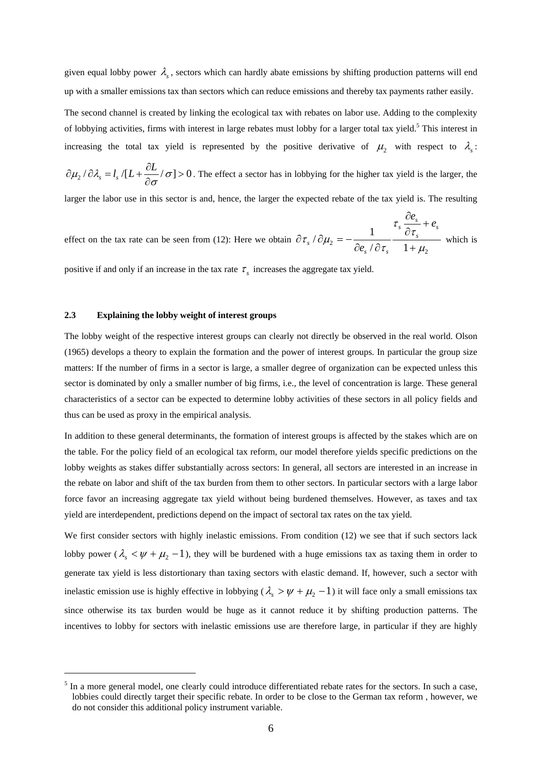given equal lobby power  $\lambda_s$ , sectors which can hardly abate emissions by shifting production patterns will end up with a smaller emissions tax than sectors which can reduce emissions and thereby tax payments rather easily.

The second channel is created by linking the ecological tax with rebates on labor use. Adding to the complexity of lobbying activities, firms with interest in large rebates must lobby for a larger total tax yield.<sup>5</sup> This interest in increasing the total tax yield is represented by the positive derivative of  $\mu$ <sub>2</sub> with respect to  $\lambda$ <sub>s</sub>:

 $\partial \mu_2 / \partial \lambda_s = l_s / [L + \frac{\partial L}{\partial \sigma} / \sigma] > 0$  $\frac{\partial Z}{\partial \sigma}$  /  $\sigma$  ] > 0. The effect a sector has in lobbying for the higher tax yield is the larger, the larger the labor use in this sector is and, hence, the larger the expected rebate of the tax yield is. The resulting

effect on the tax rate can be seen from (12): Here we obtain  $\partial \tau_s / \partial \mu_2$  $\overline{2}$  $1/\partial\mu_2=-\frac{1}{2\pi\mu}$  $\sqrt{\partial \tau_{s}}$  1  $\frac{\partial e_s}{\partial s} + e_s$  $s/\partial\mu_2 = -\frac{1}{2(1-\sqrt{2\pi})^2} - \frac{U\ell_s}{1+\sqrt{2\pi}}$ *s s*  $\frac{e_s}{e} + e$ *e* τ  $\tau_s/\partial\mu_2 = -\frac{1}{2(1-\rho)^2} - \frac{\partial\tau}{\partial\mu_1}$  $\tau_{s}$  1+ $\mu$  $\frac{\partial e_s}{\partial t}$  $\partial \tau_s / \partial \mu_2 = -\frac{1}{2 \pi \mu_0^2} \frac{\partial^2 \theta_s}{\partial \tau_s}$  $\frac{\partial e_s}{\partial \tau_s}$  +  $\frac{\partial \tau_s}{\partial \tau_s}$  which is

positive if and only if an increase in the tax rate  $\tau_{\rm s}$  increases the aggregate tax yield.

#### **2.3 Explaining the lobby weight of interest groups**

1

The lobby weight of the respective interest groups can clearly not directly be observed in the real world. Olson (1965) develops a theory to explain the formation and the power of interest groups. In particular the group size matters: If the number of firms in a sector is large, a smaller degree of organization can be expected unless this sector is dominated by only a smaller number of big firms, i.e., the level of concentration is large. These general characteristics of a sector can be expected to determine lobby activities of these sectors in all policy fields and thus can be used as proxy in the empirical analysis.

In addition to these general determinants, the formation of interest groups is affected by the stakes which are on the table. For the policy field of an ecological tax reform, our model therefore yields specific predictions on the lobby weights as stakes differ substantially across sectors: In general, all sectors are interested in an increase in the rebate on labor and shift of the tax burden from them to other sectors. In particular sectors with a large labor force favor an increasing aggregate tax yield without being burdened themselves. However, as taxes and tax yield are interdependent, predictions depend on the impact of sectoral tax rates on the tax yield.

We first consider sectors with highly inelastic emissions. From condition (12) we see that if such sectors lack lobby power ( $\lambda_s < \psi + \mu_2 - 1$ ), they will be burdened with a huge emissions tax as taxing them in order to generate tax yield is less distortionary than taxing sectors with elastic demand. If, however, such a sector with inelastic emission use is highly effective in lobbying ( $\lambda_s > \psi + \mu_2 - 1$ ) it will face only a small emissions tax since otherwise its tax burden would be huge as it cannot reduce it by shifting production patterns. The incentives to lobby for sectors with inelastic emissions use are therefore large, in particular if they are highly

<sup>&</sup>lt;sup>5</sup> In a more general model, one clearly could introduce differentiated rebate rates for the sectors. In such a case, lobbies could directly target their specific rebate. In order to be close to the German tax reform , however, we do not consider this additional policy instrument variable.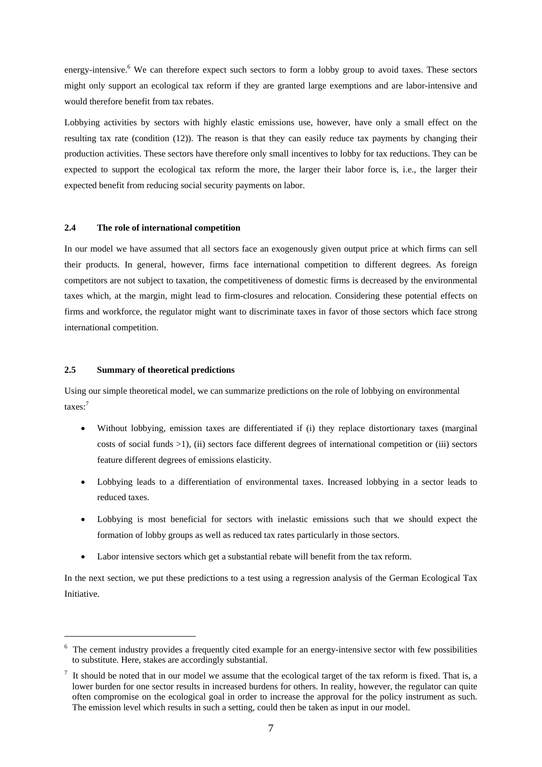energy-intensive.<sup>6</sup> We can therefore expect such sectors to form a lobby group to avoid taxes. These sectors might only support an ecological tax reform if they are granted large exemptions and are labor-intensive and would therefore benefit from tax rebates.

Lobbying activities by sectors with highly elastic emissions use, however, have only a small effect on the resulting tax rate (condition (12)). The reason is that they can easily reduce tax payments by changing their production activities. These sectors have therefore only small incentives to lobby for tax reductions. They can be expected to support the ecological tax reform the more, the larger their labor force is, i.e., the larger their expected benefit from reducing social security payments on labor.

#### **2.4 The role of international competition**

In our model we have assumed that all sectors face an exogenously given output price at which firms can sell their products. In general, however, firms face international competition to different degrees. As foreign competitors are not subject to taxation, the competitiveness of domestic firms is decreased by the environmental taxes which, at the margin, might lead to firm-closures and relocation. Considering these potential effects on firms and workforce, the regulator might want to discriminate taxes in favor of those sectors which face strong international competition.

#### **2.5 Summary of theoretical predictions**

1

Using our simple theoretical model, we can summarize predictions on the role of lobbying on environmental taxes:7

- Without lobbying, emission taxes are differentiated if (i) they replace distortionary taxes (marginal costs of social funds >1), (ii) sectors face different degrees of international competition or (iii) sectors feature different degrees of emissions elasticity.
- Lobbying leads to a differentiation of environmental taxes. Increased lobbying in a sector leads to reduced taxes.
- Lobbying is most beneficial for sectors with inelastic emissions such that we should expect the formation of lobby groups as well as reduced tax rates particularly in those sectors.
- Labor intensive sectors which get a substantial rebate will benefit from the tax reform.

In the next section, we put these predictions to a test using a regression analysis of the German Ecological Tax Initiative.

<sup>&</sup>lt;sup>6</sup> The cement industry provides a frequently cited example for an energy-intensive sector with few possibilities to substitute. Here, stakes are accordingly substantial.

 $<sup>7</sup>$  It should be noted that in our model we assume that the ecological target of the tax reform is fixed. That is, a</sup> lower burden for one sector results in increased burdens for others. In reality, however, the regulator can quite often compromise on the ecological goal in order to increase the approval for the policy instrument as such. The emission level which results in such a setting, could then be taken as input in our model.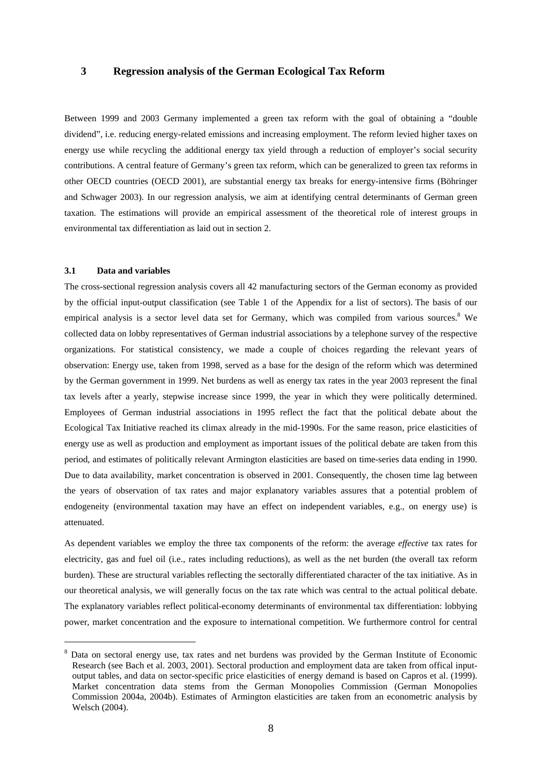## **3 Regression analysis of the German Ecological Tax Reform**

Between 1999 and 2003 Germany implemented a green tax reform with the goal of obtaining a "double dividend", i.e. reducing energy-related emissions and increasing employment. The reform levied higher taxes on energy use while recycling the additional energy tax yield through a reduction of employer's social security contributions. A central feature of Germany's green tax reform, which can be generalized to green tax reforms in other OECD countries (OECD 2001), are substantial energy tax breaks for energy-intensive firms (Böhringer and Schwager 2003). In our regression analysis, we aim at identifying central determinants of German green taxation. The estimations will provide an empirical assessment of the theoretical role of interest groups in environmental tax differentiation as laid out in section 2.

#### **3.1 Data and variables**

1

The cross-sectional regression analysis covers all 42 manufacturing sectors of the German economy as provided by the official input-output classification (see Table 1 of the Appendix for a list of sectors). The basis of our empirical analysis is a sector level data set for Germany, which was compiled from various sources.<sup>8</sup> We collected data on lobby representatives of German industrial associations by a telephone survey of the respective organizations. For statistical consistency, we made a couple of choices regarding the relevant years of observation: Energy use, taken from 1998, served as a base for the design of the reform which was determined by the German government in 1999. Net burdens as well as energy tax rates in the year 2003 represent the final tax levels after a yearly, stepwise increase since 1999, the year in which they were politically determined. Employees of German industrial associations in 1995 reflect the fact that the political debate about the Ecological Tax Initiative reached its climax already in the mid-1990s. For the same reason, price elasticities of energy use as well as production and employment as important issues of the political debate are taken from this period, and estimates of politically relevant Armington elasticities are based on time-series data ending in 1990. Due to data availability, market concentration is observed in 2001. Consequently, the chosen time lag between the years of observation of tax rates and major explanatory variables assures that a potential problem of endogeneity (environmental taxation may have an effect on independent variables, e.g., on energy use) is attenuated.

As dependent variables we employ the three tax components of the reform: the average *effective* tax rates for electricity, gas and fuel oil (i.e., rates including reductions), as well as the net burden (the overall tax reform burden). These are structural variables reflecting the sectorally differentiated character of the tax initiative. As in our theoretical analysis, we will generally focus on the tax rate which was central to the actual political debate. The explanatory variables reflect political-economy determinants of environmental tax differentiation: lobbying power, market concentration and the exposure to international competition. We furthermore control for central

<sup>&</sup>lt;sup>8</sup> Data on sectoral energy use, tax rates and net burdens was provided by the German Institute of Economic Research (see Bach et al. 2003, 2001). Sectoral production and employment data are taken from offical inputoutput tables, and data on sector-specific price elasticities of energy demand is based on Capros et al. (1999). Market concentration data stems from the German Monopolies Commission (German Monopolies Commission 2004a, 2004b). Estimates of Armington elasticities are taken from an econometric analysis by Welsch (2004).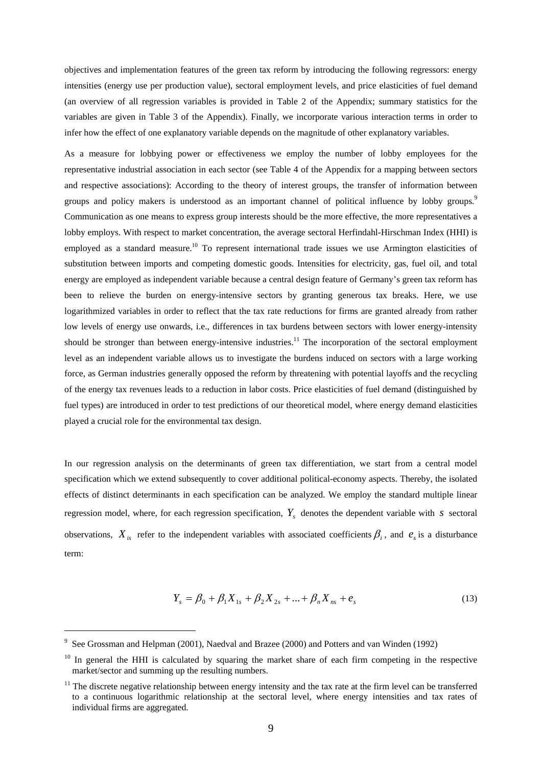objectives and implementation features of the green tax reform by introducing the following regressors: energy intensities (energy use per production value), sectoral employment levels, and price elasticities of fuel demand (an overview of all regression variables is provided in Table 2 of the Appendix; summary statistics for the variables are given in Table 3 of the Appendix). Finally, we incorporate various interaction terms in order to infer how the effect of one explanatory variable depends on the magnitude of other explanatory variables.

As a measure for lobbying power or effectiveness we employ the number of lobby employees for the representative industrial association in each sector (see Table 4 of the Appendix for a mapping between sectors and respective associations): According to the theory of interest groups, the transfer of information between groups and policy makers is understood as an important channel of political influence by lobby groups.<sup>9</sup> Communication as one means to express group interests should be the more effective, the more representatives a lobby employs. With respect to market concentration, the average sectoral Herfindahl-Hirschman Index (HHI) is employed as a standard measure.<sup>10</sup> To represent international trade issues we use Armington elasticities of substitution between imports and competing domestic goods. Intensities for electricity, gas, fuel oil, and total energy are employed as independent variable because a central design feature of Germany's green tax reform has been to relieve the burden on energy-intensive sectors by granting generous tax breaks. Here, we use logarithmized variables in order to reflect that the tax rate reductions for firms are granted already from rather low levels of energy use onwards, i.e., differences in tax burdens between sectors with lower energy-intensity should be stronger than between energy-intensive industries.<sup>11</sup> The incorporation of the sectoral employment level as an independent variable allows us to investigate the burdens induced on sectors with a large working force, as German industries generally opposed the reform by threatening with potential layoffs and the recycling of the energy tax revenues leads to a reduction in labor costs. Price elasticities of fuel demand (distinguished by fuel types) are introduced in order to test predictions of our theoretical model, where energy demand elasticities played a crucial role for the environmental tax design.

In our regression analysis on the determinants of green tax differentiation, we start from a central model specification which we extend subsequently to cover additional political-economy aspects. Thereby, the isolated effects of distinct determinants in each specification can be analyzed. We employ the standard multiple linear regression model, where, for each regression specification,  $Y<sub>s</sub>$  denotes the dependent variable with  $s$  sectoral observations,  $X_{i_s}$  refer to the independent variables with associated coefficients  $\beta_i$ , and  $e_s$  is a disturbance term:

$$
Y_s = \beta_0 + \beta_1 X_{1s} + \beta_2 X_{2s} + \dots + \beta_n X_{ns} + e_s
$$
 (13)

1

<sup>9</sup> See Grossman and Helpman (2001), Naedval and Brazee (2000) and Potters and van Winden (1992)

<sup>&</sup>lt;sup>10</sup> In general the HHI is calculated by squaring the market share of each firm competing in the respective market/sector and summing up the resulting numbers.

 $11$  The discrete negative relationship between energy intensity and the tax rate at the firm level can be transferred to a continuous logarithmic relationship at the sectoral level, where energy intensities and tax rates of individual firms are aggregated.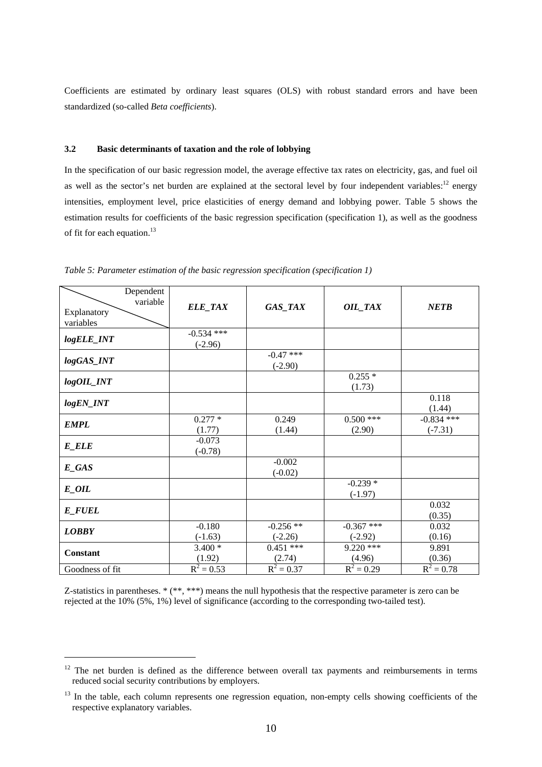Coefficients are estimated by ordinary least squares (OLS) with robust standard errors and have been standardized (so-called *Beta coefficients*).

## **3.2 Basic determinants of taxation and the role of lobbying**

In the specification of our basic regression model, the average effective tax rates on electricity, gas, and fuel oil as well as the sector's net burden are explained at the sectoral level by four independent variables:<sup>12</sup> energy intensities, employment level, price elasticities of energy demand and lobbying power. Table 5 shows the estimation results for coefficients of the basic regression specification (specification 1), as well as the goodness of fit for each equation.<sup>13</sup>

| Dependent<br>variable    |                           |                          |                           |                           |
|--------------------------|---------------------------|--------------------------|---------------------------|---------------------------|
| Explanatory<br>variables | <b>ELE_TAX</b>            | GAS_TAX                  | OIL_TAX                   | <b>NETB</b>               |
| logELE_INT               | $-0.534$ ***<br>$(-2.96)$ |                          |                           |                           |
| logGAS_INT               |                           | $-0.47$ ***<br>$(-2.90)$ |                           |                           |
| $log OIL$ _INT           |                           |                          | $0.255*$<br>(1.73)        |                           |
| $logEN\_INT$             |                           |                          |                           | 0.118<br>(1.44)           |
| <b>EMPL</b>              | $0.277*$<br>(1.77)        | 0.249<br>(1.44)          | $0.500$ ***<br>(2.90)     | $-0.834$ ***<br>$(-7.31)$ |
| $E$ $ELE$                | $-0.073$<br>$(-0.78)$     |                          |                           |                           |
| $E_GAS$                  |                           | $-0.002$<br>$(-0.02)$    |                           |                           |
| $E_0$ <i>NL</i>          |                           |                          | $-0.239*$<br>$(-1.97)$    |                           |
| <b>E_FUEL</b>            |                           |                          |                           | 0.032<br>(0.35)           |
| <b>LOBBY</b>             | $-0.180$<br>$(-1.63)$     | $-0.256**$<br>$(-2.26)$  | $-0.367$ ***<br>$(-2.92)$ | 0.032<br>(0.16)           |
| Constant                 | $3.400*$<br>(1.92)        | $0.451$ ***<br>(2.74)    | $9.220$ ***<br>(4.96)     | 9.891<br>(0.36)           |
| Goodness of fit          | $\overline{R^2} = 0.53$   | $\overline{R^2} = 0.37$  | $R^2 = 0.29$              | $\overline{R}^2 = 0.78$   |

*Table 5: Parameter estimation of the basic regression specification (specification 1)* 

Z-statistics in parentheses. \* (\*\*, \*\*\*) means the null hypothesis that the respective parameter is zero can be rejected at the 10% (5%, 1%) level of significance (according to the corresponding two-tailed test).

1

 $12$  The net burden is defined as the difference between overall tax payments and reimbursements in terms reduced social security contributions by employers.

<sup>&</sup>lt;sup>13</sup> In the table, each column represents one regression equation, non-empty cells showing coefficients of the respective explanatory variables.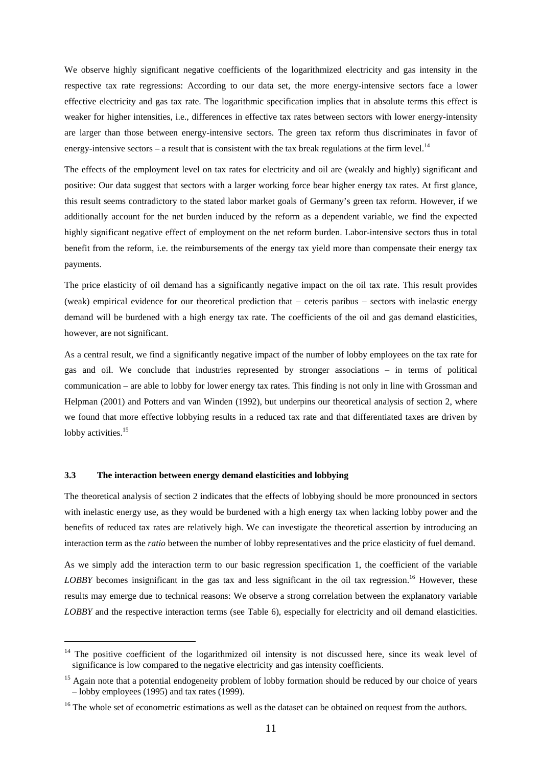We observe highly significant negative coefficients of the logarithmized electricity and gas intensity in the respective tax rate regressions: According to our data set, the more energy-intensive sectors face a lower effective electricity and gas tax rate. The logarithmic specification implies that in absolute terms this effect is weaker for higher intensities, i.e., differences in effective tax rates between sectors with lower energy-intensity are larger than those between energy-intensive sectors. The green tax reform thus discriminates in favor of energy-intensive sectors – a result that is consistent with the tax break regulations at the firm level.<sup>14</sup>

The effects of the employment level on tax rates for electricity and oil are (weakly and highly) significant and positive: Our data suggest that sectors with a larger working force bear higher energy tax rates. At first glance, this result seems contradictory to the stated labor market goals of Germany's green tax reform. However, if we additionally account for the net burden induced by the reform as a dependent variable, we find the expected highly significant negative effect of employment on the net reform burden. Labor-intensive sectors thus in total benefit from the reform, i.e. the reimbursements of the energy tax yield more than compensate their energy tax payments.

The price elasticity of oil demand has a significantly negative impact on the oil tax rate. This result provides (weak) empirical evidence for our theoretical prediction that − ceteris paribus − sectors with inelastic energy demand will be burdened with a high energy tax rate. The coefficients of the oil and gas demand elasticities, however, are not significant.

As a central result, we find a significantly negative impact of the number of lobby employees on the tax rate for gas and oil. We conclude that industries represented by stronger associations – in terms of political communication – are able to lobby for lower energy tax rates. This finding is not only in line with Grossman and Helpman (2001) and Potters and van Winden (1992), but underpins our theoretical analysis of section 2, where we found that more effective lobbying results in a reduced tax rate and that differentiated taxes are driven by lobby activities.<sup>15</sup>

#### **3.3 The interaction between energy demand elasticities and lobbying**

1

The theoretical analysis of section 2 indicates that the effects of lobbying should be more pronounced in sectors with inelastic energy use, as they would be burdened with a high energy tax when lacking lobby power and the benefits of reduced tax rates are relatively high. We can investigate the theoretical assertion by introducing an interaction term as the *ratio* between the number of lobby representatives and the price elasticity of fuel demand.

As we simply add the interaction term to our basic regression specification 1, the coefficient of the variable *LOBBY* becomes insignificant in the gas tax and less significant in the oil tax regression.<sup>16</sup> However, these results may emerge due to technical reasons: We observe a strong correlation between the explanatory variable *LOBBY* and the respective interaction terms (see Table 6), especially for electricity and oil demand elasticities.

<sup>&</sup>lt;sup>14</sup> The positive coefficient of the logarithmized oil intensity is not discussed here, since its weak level of significance is low compared to the negative electricity and gas intensity coefficients.

<sup>&</sup>lt;sup>15</sup> Again note that a potential endogeneity problem of lobby formation should be reduced by our choice of years – lobby employees (1995) and tax rates (1999).

<sup>&</sup>lt;sup>16</sup> The whole set of econometric estimations as well as the dataset can be obtained on request from the authors.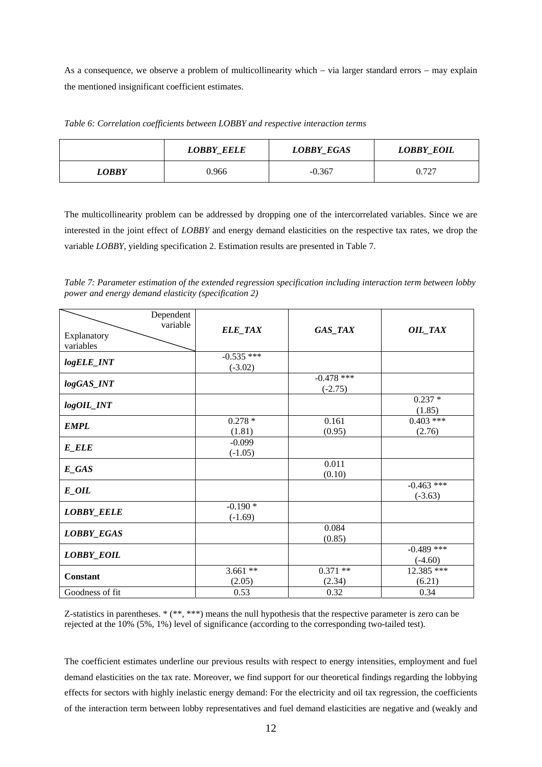As a consequence, we observe a problem of multicollinearity which − via larger standard errors − may explain the mentioned insignificant coefficient estimates.

*Table 6: Correlation coefficients between LOBBY and respective interaction terms* 

|              | <b>LOBBY EELE</b> | <b>LOBBY EGAS</b> | <i>LOBBY_EOIL</i> |
|--------------|-------------------|-------------------|-------------------|
| <i>LOBBY</i> | 0.966             | $-0.367$          | 0.727             |

The multicollinearity problem can be addressed by dropping one of the intercorrelated variables. Since we are interested in the joint effect of *LOBBY* and energy demand elasticities on the respective tax rates, we drop the variable *LOBBY*, yielding specification 2. Estimation results are presented in Table 7.

*Table 7: Parameter estimation of the extended regression specification including interaction term between lobby power and energy demand elasticity (specification 2)* 

| Dependent<br>variable |                |              |              |
|-----------------------|----------------|--------------|--------------|
| Explanatory           | <b>ELE_TAX</b> | GAS_TAX      | OIL_TAX      |
| variables             |                |              |              |
|                       | $-0.535$ ***   |              |              |
| logELE_INT            | $(-3.02)$      |              |              |
|                       |                | $-0.478$ *** |              |
| logGAS_INT            |                | $(-2.75)$    |              |
|                       |                |              | $0.237*$     |
| logOIL_INT            |                |              | (1.85)       |
|                       | $0.278 *$      | 0.161        | $0.403$ ***  |
| <b>EMPL</b>           | (1.81)         | (0.95)       | (2.76)       |
|                       | $-0.099$       |              |              |
| <b>E_ELE</b>          | $(-1.05)$      |              |              |
| $E_GAS$               |                | 0.011        |              |
|                       |                | (0.10)       |              |
| $E_0$ <i>NL</i>       |                |              | $-0.463$ *** |
|                       |                |              | $(-3.63)$    |
| <b>LOBBY_EELE</b>     | $-0.190*$      |              |              |
|                       | $(-1.69)$      |              |              |
| <b>LOBBY_EGAS</b>     |                | 0.084        |              |
|                       |                | (0.85)       |              |
| <b>LOBBY_EOIL</b>     |                |              | $-0.489$ *** |
|                       |                |              | $(-4.60)$    |
| <b>Constant</b>       | $3.661**$      | $0.371**$    | 12.385 ***   |
|                       | (2.05)         | (2.34)       | (6.21)       |
| Goodness of fit       | 0.53           | 0.32         | 0.34         |

Z-statistics in parentheses. \* (\*\*, \*\*\*) means the null hypothesis that the respective parameter is zero can be rejected at the 10% (5%, 1%) level of significance (according to the corresponding two-tailed test).

The coefficient estimates underline our previous results with respect to energy intensities, employment and fuel demand elasticities on the tax rate. Moreover, we find support for our theoretical findings regarding the lobbying effects for sectors with highly inelastic energy demand: For the electricity and oil tax regression, the coefficients of the interaction term between lobby representatives and fuel demand elasticities are negative and (weakly and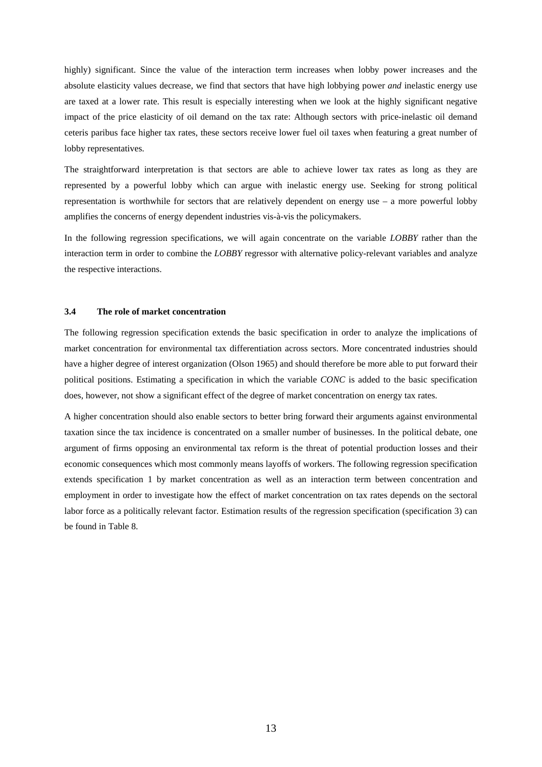highly) significant. Since the value of the interaction term increases when lobby power increases and the absolute elasticity values decrease, we find that sectors that have high lobbying power *and* inelastic energy use are taxed at a lower rate. This result is especially interesting when we look at the highly significant negative impact of the price elasticity of oil demand on the tax rate: Although sectors with price-inelastic oil demand ceteris paribus face higher tax rates, these sectors receive lower fuel oil taxes when featuring a great number of lobby representatives.

The straightforward interpretation is that sectors are able to achieve lower tax rates as long as they are represented by a powerful lobby which can argue with inelastic energy use. Seeking for strong political representation is worthwhile for sectors that are relatively dependent on energy use – a more powerful lobby amplifies the concerns of energy dependent industries vis-à-vis the policymakers.

In the following regression specifications, we will again concentrate on the variable *LOBBY* rather than the interaction term in order to combine the *LOBBY* regressor with alternative policy-relevant variables and analyze the respective interactions.

#### **3.4 The role of market concentration**

The following regression specification extends the basic specification in order to analyze the implications of market concentration for environmental tax differentiation across sectors. More concentrated industries should have a higher degree of interest organization (Olson 1965) and should therefore be more able to put forward their political positions. Estimating a specification in which the variable *CONC* is added to the basic specification does, however, not show a significant effect of the degree of market concentration on energy tax rates.

A higher concentration should also enable sectors to better bring forward their arguments against environmental taxation since the tax incidence is concentrated on a smaller number of businesses. In the political debate, one argument of firms opposing an environmental tax reform is the threat of potential production losses and their economic consequences which most commonly means layoffs of workers. The following regression specification extends specification 1 by market concentration as well as an interaction term between concentration and employment in order to investigate how the effect of market concentration on tax rates depends on the sectoral labor force as a politically relevant factor. Estimation results of the regression specification (specification 3) can be found in Table 8.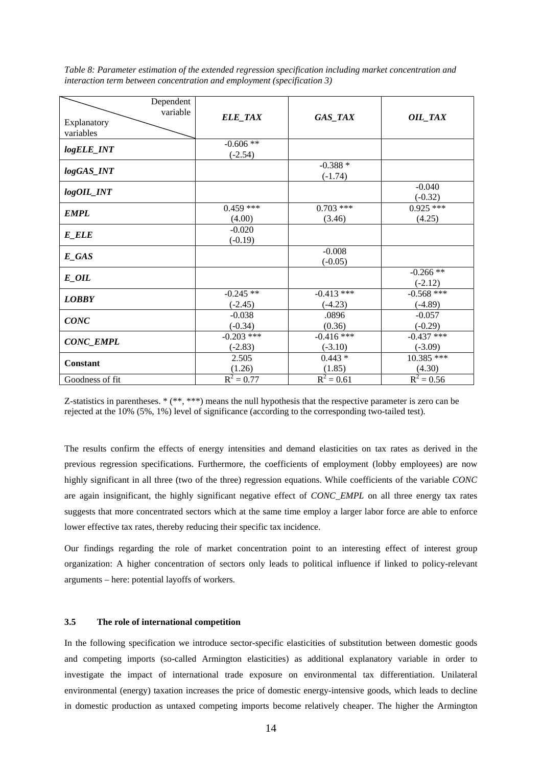| Dependent<br>variable |                |                         |              |
|-----------------------|----------------|-------------------------|--------------|
| Explanatory           | <b>ELE_TAX</b> | GAS_TAX                 | OIL_TAX      |
| variables             |                |                         |              |
|                       | $-0.606**$     |                         |              |
| logELE_INT            | $(-2.54)$      |                         |              |
|                       |                | $-0.388*$               |              |
| logGAS_INT            |                | $(-1.74)$               |              |
|                       |                |                         | $-0.040$     |
| logOIL_INT            |                |                         | $(-0.32)$    |
| <b>EMPL</b>           | $0.459$ ***    | $0.703$ ***             | $0.925$ ***  |
|                       | (4.00)         | (3.46)                  | (4.25)       |
|                       | $-0.020$       |                         |              |
| <b>E_ELE</b>          | $(-0.19)$      |                         |              |
| $E_GAS$               |                | $-0.008$                |              |
|                       |                | $(-0.05)$               |              |
| $E_0$ <i>OIL</i>      |                |                         | $-0.266$ **  |
|                       |                |                         | $(-2.12)$    |
| <b>LOBBY</b>          | $-0.245**$     | $-0.413$ ***            | $-0.568$ *** |
|                       | $(-2.45)$      | $(-4.23)$               | $(-4.89)$    |
| <b>CONC</b>           | $-0.038$       | .0896                   | $-0.057$     |
|                       | $(-0.34)$      | (0.36)                  | $(-0.29)$    |
| <b>CONC_EMPL</b>      | $-0.203$ ***   | $-0.416$ ***            | $-0.437$ *** |
|                       | $(-2.83)$      | $(-3.10)$               | $(-3.09)$    |
| Constant              | 2.505          | $0.443*$                | 10.385 ***   |
|                       | (1.26)         | (1.85)                  | (4.30)       |
| Goodness of fit       | $R^2 = 0.77$   | $\overline{R}^2 = 0.61$ | $R^2 = 0.56$ |

*Table 8: Parameter estimation of the extended regression specification including market concentration and interaction term between concentration and employment (specification 3)* 

Z-statistics in parentheses. \* (\*\*, \*\*\*) means the null hypothesis that the respective parameter is zero can be rejected at the 10% (5%, 1%) level of significance (according to the corresponding two-tailed test).

The results confirm the effects of energy intensities and demand elasticities on tax rates as derived in the previous regression specifications. Furthermore, the coefficients of employment (lobby employees) are now highly significant in all three (two of the three) regression equations. While coefficients of the variable *CONC* are again insignificant, the highly significant negative effect of *CONC\_EMPL* on all three energy tax rates suggests that more concentrated sectors which at the same time employ a larger labor force are able to enforce lower effective tax rates, thereby reducing their specific tax incidence.

Our findings regarding the role of market concentration point to an interesting effect of interest group organization: A higher concentration of sectors only leads to political influence if linked to policy-relevant arguments – here: potential layoffs of workers.

#### **3.5 The role of international competition**

In the following specification we introduce sector-specific elasticities of substitution between domestic goods and competing imports (so-called Armington elasticities) as additional explanatory variable in order to investigate the impact of international trade exposure on environmental tax differentiation. Unilateral environmental (energy) taxation increases the price of domestic energy-intensive goods, which leads to decline in domestic production as untaxed competing imports become relatively cheaper. The higher the Armington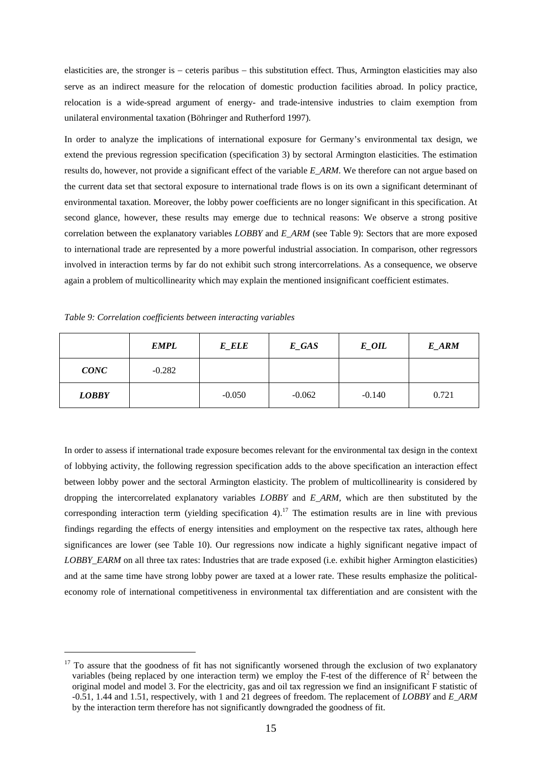elasticities are, the stronger is − ceteris paribus − this substitution effect. Thus, Armington elasticities may also serve as an indirect measure for the relocation of domestic production facilities abroad. In policy practice, relocation is a wide-spread argument of energy- and trade-intensive industries to claim exemption from unilateral environmental taxation (Böhringer and Rutherford 1997).

In order to analyze the implications of international exposure for Germany's environmental tax design, we extend the previous regression specification (specification 3) by sectoral Armington elasticities. The estimation results do, however, not provide a significant effect of the variable *E\_ARM*. We therefore can not argue based on the current data set that sectoral exposure to international trade flows is on its own a significant determinant of environmental taxation. Moreover, the lobby power coefficients are no longer significant in this specification. At second glance, however, these results may emerge due to technical reasons: We observe a strong positive correlation between the explanatory variables *LOBBY* and *E\_ARM* (see Table 9): Sectors that are more exposed to international trade are represented by a more powerful industrial association. In comparison, other regressors involved in interaction terms by far do not exhibit such strong intercorrelations. As a consequence, we observe again a problem of multicollinearity which may explain the mentioned insignificant coefficient estimates.

*Table 9: Correlation coefficients between interacting variables* 

1

|              | <b>EMPL</b> | $E$ $ELE$ | $E_GAS$  | $E_0$ <i>OIL</i> | $E\_ARM$ |
|--------------|-------------|-----------|----------|------------------|----------|
| <b>CONC</b>  | $-0.282$    |           |          |                  |          |
| <b>LOBBY</b> |             | $-0.050$  | $-0.062$ | $-0.140$         | 0.721    |

In order to assess if international trade exposure becomes relevant for the environmental tax design in the context of lobbying activity, the following regression specification adds to the above specification an interaction effect between lobby power and the sectoral Armington elasticity. The problem of multicollinearity is considered by dropping the intercorrelated explanatory variables *LOBBY* and *E\_ARM,* which are then substituted by the corresponding interaction term (yielding specification 4).<sup>17</sup> The estimation results are in line with previous findings regarding the effects of energy intensities and employment on the respective tax rates, although here significances are lower (see Table 10). Our regressions now indicate a highly significant negative impact of *LOBBY\_EARM* on all three tax rates: Industries that are trade exposed (i.e. exhibit higher Armington elasticities) and at the same time have strong lobby power are taxed at a lower rate. These results emphasize the politicaleconomy role of international competitiveness in environmental tax differentiation and are consistent with the

 $17$  To assure that the goodness of fit has not significantly worsened through the exclusion of two explanatory variables (being replaced by one interaction term) we employ the F-test of the difference of  $\mathbb{R}^2$  between the original model and model 3. For the electricity, gas and oil tax regression we find an insignificant F statistic of -0.51, 1.44 and 1.51, respectively, with 1 and 21 degrees of freedom. The replacement of *LOBBY* and *E\_ARM* by the interaction term therefore has not significantly downgraded the goodness of fit.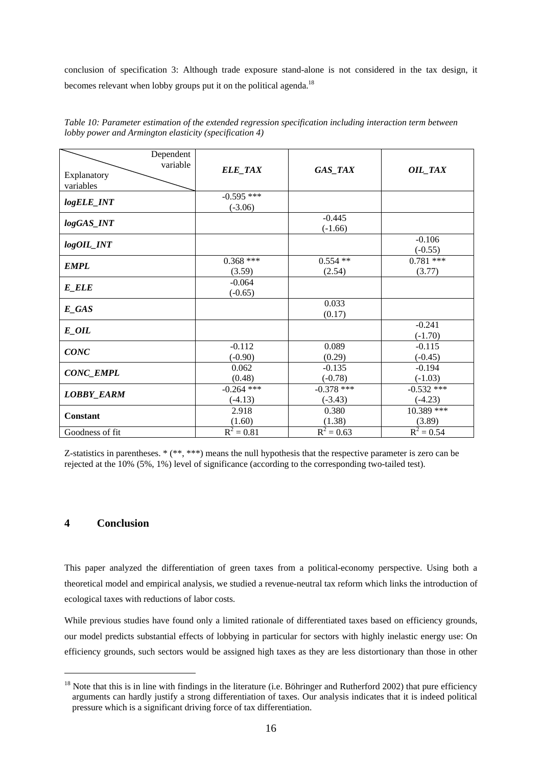conclusion of specification 3: Although trade exposure stand-alone is not considered in the tax design, it becomes relevant when lobby groups put it on the political agenda.<sup>18</sup>

| Dependent         |                |              |              |
|-------------------|----------------|--------------|--------------|
| variable          | <b>ELE_TAX</b> | GAS_TAX      | OIL_TAX      |
| Explanatory       |                |              |              |
| variables         |                |              |              |
| logELE_INT        | $-0.595$ ***   |              |              |
|                   | $(-3.06)$      |              |              |
| logGAS_INT        |                | $-0.445$     |              |
|                   |                | $(-1.66)$    |              |
| logOIL_INT        |                |              | $-0.106$     |
|                   |                |              | $(-0.55)$    |
|                   | $0.368$ ***    | $0.554$ **   | $0.781$ ***  |
| <b>EMPL</b>       | (3.59)         | (2.54)       | (3.77)       |
|                   | $-0.064$       |              |              |
| <b>E_ELE</b>      | $(-0.65)$      |              |              |
|                   |                | 0.033        |              |
| $E_GAS$           |                | (0.17)       |              |
|                   |                |              | $-0.241$     |
| $E_0$ <i>NL</i>   |                |              | $(-1.70)$    |
|                   | $-0.112$       | 0.089        | $-0.115$     |
| <b>CONC</b>       | $(-0.90)$      | (0.29)       | $(-0.45)$    |
|                   | 0.062          | $-0.135$     | $-0.194$     |
| <b>CONC_EMPL</b>  | (0.48)         | $(-0.78)$    | $(-1.03)$    |
|                   | $-0.264$ ***   | $-0.378$ *** | $-0.532$ *** |
| <b>LOBBY_EARM</b> | $(-4.13)$      | $(-3.43)$    | $(-4.23)$    |
|                   | 2.918          | 0.380        | 10.389 ***   |
| <b>Constant</b>   | (1.60)         | (1.38)       | (3.89)       |
| Goodness of fit   | $R^2 = 0.81$   | $R^2 = 0.63$ | $R^2 = 0.54$ |

*Table 10: Parameter estimation of the extended regression specification including interaction term between lobby power and Armington elasticity (specification 4)* 

Z-statistics in parentheses. \* (\*\*, \*\*\*) means the null hypothesis that the respective parameter is zero can be rejected at the 10% (5%, 1%) level of significance (according to the corresponding two-tailed test).

### **4 Conclusion**

1

This paper analyzed the differentiation of green taxes from a political-economy perspective. Using both a theoretical model and empirical analysis, we studied a revenue-neutral tax reform which links the introduction of ecological taxes with reductions of labor costs.

While previous studies have found only a limited rationale of differentiated taxes based on efficiency grounds, our model predicts substantial effects of lobbying in particular for sectors with highly inelastic energy use: On efficiency grounds, such sectors would be assigned high taxes as they are less distortionary than those in other

 $18$  Note that this is in line with findings in the literature (i.e. Böhringer and Rutherford 2002) that pure efficiency arguments can hardly justify a strong differentiation of taxes. Our analysis indicates that it is indeed political pressure which is a significant driving force of tax differentiation.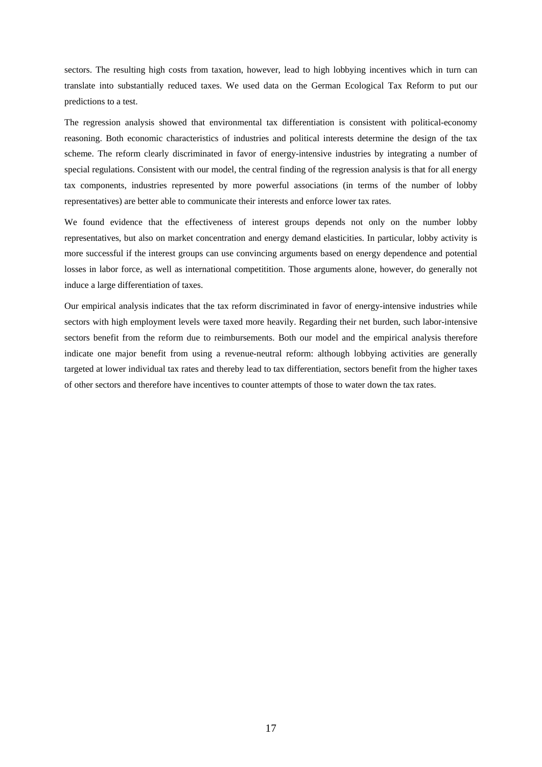sectors. The resulting high costs from taxation, however, lead to high lobbying incentives which in turn can translate into substantially reduced taxes. We used data on the German Ecological Tax Reform to put our predictions to a test.

The regression analysis showed that environmental tax differentiation is consistent with political-economy reasoning. Both economic characteristics of industries and political interests determine the design of the tax scheme. The reform clearly discriminated in favor of energy-intensive industries by integrating a number of special regulations. Consistent with our model, the central finding of the regression analysis is that for all energy tax components, industries represented by more powerful associations (in terms of the number of lobby representatives) are better able to communicate their interests and enforce lower tax rates.

We found evidence that the effectiveness of interest groups depends not only on the number lobby representatives, but also on market concentration and energy demand elasticities. In particular, lobby activity is more successful if the interest groups can use convincing arguments based on energy dependence and potential losses in labor force, as well as international competitition. Those arguments alone, however, do generally not induce a large differentiation of taxes.

Our empirical analysis indicates that the tax reform discriminated in favor of energy-intensive industries while sectors with high employment levels were taxed more heavily. Regarding their net burden, such labor-intensive sectors benefit from the reform due to reimbursements. Both our model and the empirical analysis therefore indicate one major benefit from using a revenue-neutral reform: although lobbying activities are generally targeted at lower individual tax rates and thereby lead to tax differentiation, sectors benefit from the higher taxes of other sectors and therefore have incentives to counter attempts of those to water down the tax rates.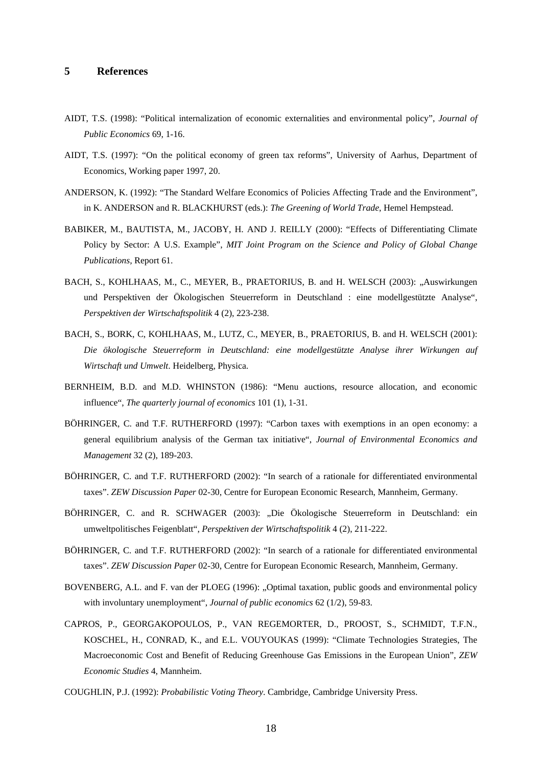## **5 References**

- AIDT, T.S. (1998): "Political internalization of economic externalities and environmental policy", *Journal of Public Economics* 69, 1-16.
- AIDT, T.S. (1997): "On the political economy of green tax reforms", University of Aarhus, Department of Economics, Working paper 1997, 20.
- ANDERSON, K. (1992): "The Standard Welfare Economics of Policies Affecting Trade and the Environment", in K. ANDERSON and R. BLACKHURST (eds.): *The Greening of World Trade*, Hemel Hempstead.
- BABIKER, M., BAUTISTA, M., JACOBY, H. AND J. REILLY (2000): "Effects of Differentiating Climate Policy by Sector: A U.S. Example", *MIT Joint Program on the Science and Policy of Global Change Publications,* Report 61.
- BACH, S., KOHLHAAS, M., C., MEYER, B., PRAETORIUS, B. and H. WELSCH (2003): "Auswirkungen und Perspektiven der Ökologischen Steuerreform in Deutschland : eine modellgestützte Analyse", *Perspektiven der Wirtschaftspolitik* 4 (2), 223-238.
- BACH, S., BORK, C, KOHLHAAS, M., LUTZ, C., MEYER, B., PRAETORIUS, B. and H. WELSCH (2001): *Die ökologische Steuerreform in Deutschland: eine modellgestützte Analyse ihrer Wirkungen auf Wirtschaft und Umwelt*. Heidelberg, Physica.
- BERNHEIM, B.D. and M.D. WHINSTON (1986): "Menu auctions, resource allocation, and economic influence", *The quarterly journal of economics* 101 (1), 1-31.
- BÖHRINGER, C. and T.F. RUTHERFORD (1997): "Carbon taxes with exemptions in an open economy: a general equilibrium analysis of the German tax initiative", *Journal of Environmental Economics and Management* 32 (2), 189-203.
- BÖHRINGER, C. and T.F. RUTHERFORD (2002): "In search of a rationale for differentiated environmental taxes". *ZEW Discussion Paper* 02-30, Centre for European Economic Research, Mannheim, Germany.
- BÖHRINGER, C. and R. SCHWAGER (2003): "Die Ökologische Steuerreform in Deutschland: ein umweltpolitisches Feigenblatt", *Perspektiven der Wirtschaftspolitik* 4 (2), 211-222.
- BÖHRINGER, C. and T.F. RUTHERFORD (2002): "In search of a rationale for differentiated environmental taxes". *ZEW Discussion Paper* 02-30, Centre for European Economic Research, Mannheim, Germany.
- BOVENBERG, A.L. and F. van der PLOEG (1996): "Optimal taxation, public goods and environmental policy with involuntary unemployment", *Journal of public economics* 62 (1/2), 59-83.
- CAPROS, P., GEORGAKOPOULOS, P., VAN REGEMORTER, D., PROOST, S., SCHMIDT, T.F.N., KOSCHEL, H., CONRAD, K., and E.L. VOUYOUKAS (1999): "Climate Technologies Strategies, The Macroeconomic Cost and Benefit of Reducing Greenhouse Gas Emissions in the European Union", *ZEW Economic Studies* 4, Mannheim.
- COUGHLIN, P.J. (1992): *Probabilistic Voting Theory*. Cambridge, Cambridge University Press.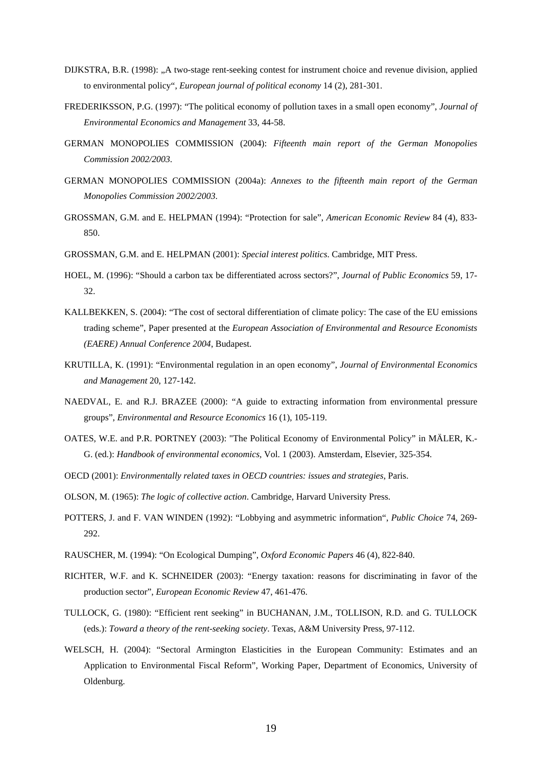- DIJKSTRA, B.R. (1998): "A two-stage rent-seeking contest for instrument choice and revenue division, applied to environmental policy", *European journal of political economy* 14 (2), 281-301.
- FREDERIKSSON, P.G. (1997): "The political economy of pollution taxes in a small open economy", *Journal of Environmental Economics and Management* 33, 44-58.
- GERMAN MONOPOLIES COMMISSION (2004): *Fifteenth main report of the German Monopolies Commission 2002/2003*.
- GERMAN MONOPOLIES COMMISSION (2004a): *Annexes to the fifteenth main report of the German Monopolies Commission 2002/2003*.
- GROSSMAN, G.M. and E. HELPMAN (1994): "Protection for sale", *American Economic Review* 84 (4), 833- 850.
- GROSSMAN, G.M. and E. HELPMAN (2001): *Special interest politics*. Cambridge, MIT Press.
- HOEL, M. (1996): "Should a carbon tax be differentiated across sectors?", *Journal of Public Economics* 59, 17- 32.
- KALLBEKKEN, S. (2004): "The cost of sectoral differentiation of climate policy: The case of the EU emissions trading scheme", Paper presented at the *European Association of Environmental and Resource Economists (EAERE) Annual Conference 2004*, Budapest.
- KRUTILLA, K. (1991): "Environmental regulation in an open economy", *Journal of Environmental Economics and Management* 20, 127-142.
- NAEDVAL, E. and R.J. BRAZEE (2000): "A guide to extracting information from environmental pressure groups", *Environmental and Resource Economics* 16 (1), 105-119.
- OATES, W.E. and P.R. PORTNEY (2003): "The Political Economy of Environmental Policy" in MÄLER, K.- G. (ed.): *Handbook of environmental economics,* Vol. 1 (2003). Amsterdam, Elsevier, 325-354.
- OECD (2001): *Environmentally related taxes in OECD countries: issues and strategies*, Paris.
- OLSON, M. (1965): *The logic of collective action*. Cambridge, Harvard University Press.
- POTTERS, J. and F. VAN WINDEN (1992): "Lobbying and asymmetric information", *Public Choice* 74, 269- 292.
- RAUSCHER, M. (1994): "On Ecological Dumping", *Oxford Economic Papers* 46 (4), 822-840.
- RICHTER, W.F. and K. SCHNEIDER (2003): "Energy taxation: reasons for discriminating in favor of the production sector", *European Economic Review* 47, 461-476.
- TULLOCK, G. (1980): "Efficient rent seeking" in BUCHANAN, J.M., TOLLISON, R.D. and G. TULLOCK (eds.): *Toward a theory of the rent-seeking society*. Texas, A&M University Press, 97-112.
- WELSCH, H. (2004): "Sectoral Armington Elasticities in the European Community: Estimates and an Application to Environmental Fiscal Reform", Working Paper, Department of Economics, University of Oldenburg.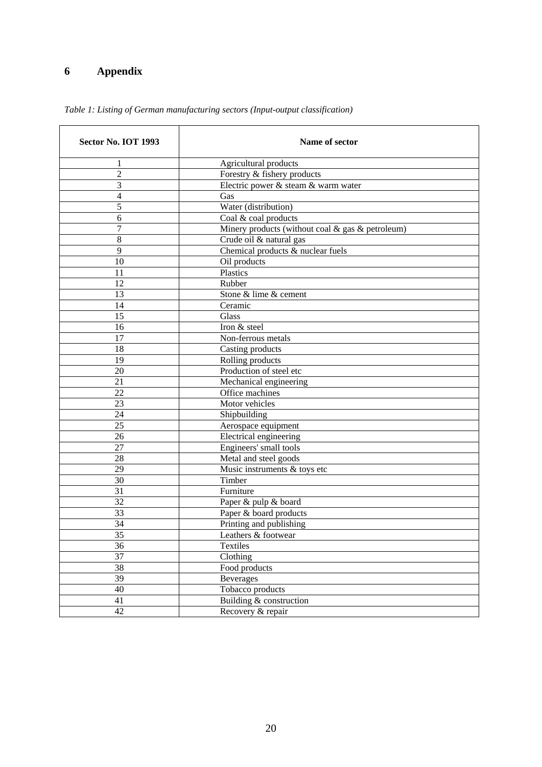## **6 Appendix**

| Sector No. IOT 1993 | Name of sector                                   |
|---------------------|--------------------------------------------------|
| 1                   | Agricultural products                            |
| $\overline{c}$      | Forestry & fishery products                      |
| 3                   | Electric power & steam & warm water              |
| 4                   | Gas                                              |
| 5                   | Water (distribution)                             |
| 6                   | Coal & coal products                             |
| $\overline{7}$      | Minery products (without coal & gas & petroleum) |
| $\,$ 8 $\,$         | Crude oil & natural gas                          |
| 9                   | Chemical products & nuclear fuels                |
| 10                  | Oil products                                     |
| 11                  | Plastics                                         |
| 12                  | Rubber                                           |
| 13                  | Stone & lime & cement                            |
| 14                  | Ceramic                                          |
| 15                  | Glass                                            |
| 16                  | Iron & steel                                     |
| 17                  | Non-ferrous metals                               |
| 18                  | Casting products                                 |
| 19                  | Rolling products                                 |
| 20                  | Production of steel etc                          |
| 21                  | Mechanical engineering                           |
| 22                  | Office machines                                  |
| 23                  | Motor vehicles                                   |
| 24                  | Shipbuilding                                     |
| 25                  | Aerospace equipment                              |
| 26                  | Electrical engineering                           |
| 27                  | Engineers' small tools                           |
| 28                  | Metal and steel goods                            |
| 29                  | Music instruments & toys etc                     |
| 30                  | Timber                                           |
| 31                  | Furniture                                        |
| 32                  | Paper & pulp & board                             |
| 33                  | Paper & board products                           |
| 34                  | Printing and publishing                          |
| $\overline{35}$     | Leathers & footwear                              |
| 36                  | Textiles                                         |
| $\overline{37}$     | Clothing                                         |
| 38                  | Food products                                    |
| 39                  | <b>Beverages</b>                                 |
| 40                  | Tobacco products                                 |
| 41                  | Building & construction                          |
| 42                  | Recovery & repair                                |

*Table 1: Listing of German manufacturing sectors (Input-output classification)*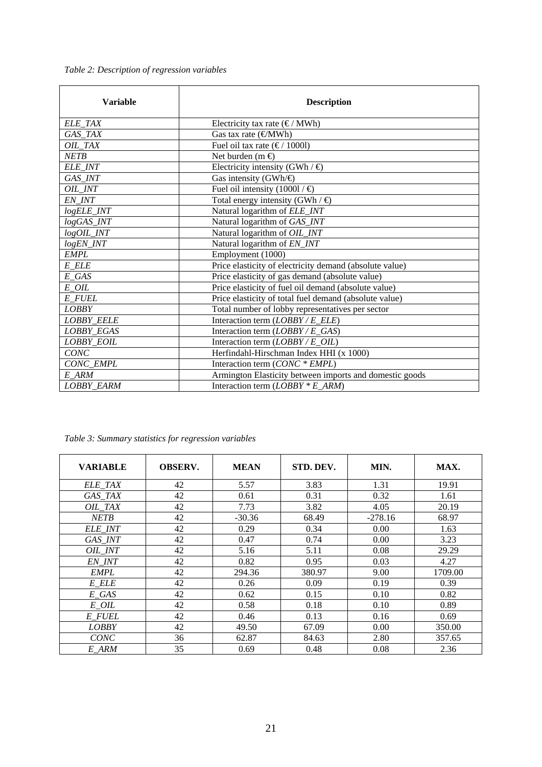|  |  | Table 2: Description of regression variables |  |
|--|--|----------------------------------------------|--|
|--|--|----------------------------------------------|--|

| <b>Variable</b>        | <b>Description</b>                                      |
|------------------------|---------------------------------------------------------|
| <b>ELE TAX</b>         | Electricity tax rate $(\epsilon / MWh)$                 |
| GAS TAX                | Gas tax rate $(\text{\ensuremath{\in}} MWh)$            |
| OIL_TAX                | Fuel oil tax rate $(\epsilon/10001)$                    |
| <b>NETB</b>            | Net burden (m $\Theta$                                  |
| <b>ELE INT</b>         | Electricity intensity (GWh / $\oplus$                   |
| GAS INT                | Gas intensity (GWh/ $\bigoplus$                         |
| OIL_INT                | Fuel oil intensity $(10001 / \Theta)$                   |
| EN_INT                 | Total energy intensity (GWh / $\Theta$                  |
| $log ELE$ _INT         | Natural logarithm of ELE_INT                            |
| $log GAS$ _INT         | Natural logarithm of GAS_INT                            |
| $log OIL$ _INT         | Natural logarithm of OIL_INT                            |
| $logEN$ <sub>INT</sub> | Natural logarithm of EN_INT                             |
| <b>EMPL</b>            | Employment (1000)                                       |
| $E$ _ $E$ <i>LE</i>    | Price elasticity of electricity demand (absolute value) |
| $E_GAS$                | Price elasticity of gas demand (absolute value)         |
| $E_OL$                 | Price elasticity of fuel oil demand (absolute value)    |
| E FUEL                 | Price elasticity of total fuel demand (absolute value)  |
| <b>LOBBY</b>           | Total number of lobby representatives per sector        |
| <b>LOBBY EELE</b>      | Interaction term (LOBBY/E_ELE)                          |
| <b>LOBBY EGAS</b>      | Interaction term (LOBBY/E_GAS)                          |
| LOBBY_EOIL             | Interaction term (LOBBY/E_OIL)                          |
| CONC                   | Herfindahl-Hirschman Index HHI (x 1000)                 |
| CONC_EMPL              | Interaction term (CONC * EMPL)                          |
| $E\_ARM$               | Armington Elasticity between imports and domestic goods |
| LOBBY_EARM             | Interaction term (LOBBY * E_ARM)                        |

*Table 3: Summary statistics for regression variables* 

| <b>VARIABLE</b>        | <b>OBSERV.</b> | <b>MEAN</b> | STD. DEV. | MIN.      | MAX.    |
|------------------------|----------------|-------------|-----------|-----------|---------|
| ELE_TAX                | 42             | 5.57        | 3.83      | 1.31      | 19.91   |
| GAS_TAX                | 42             | 0.61        | 0.31      | 0.32      | 1.61    |
| OIL_TAX                | 42             | 7.73        | 3.82      | 4.05      | 20.19   |
| <b>NETB</b>            | 42             | $-30.36$    | 68.49     | $-278.16$ | 68.97   |
| <b>ELE_INT</b>         | 42             | 0.29        | 0.34      | 0.00      | 1.63    |
| GAS_INT                | 42             | 0.47        | 0.74      | 0.00      | 3.23    |
| OIL_INT                | 42             | 5.16        | 5.11      | 0.08      | 29.29   |
| EN INT                 | 42             | 0.82        | 0.95      | 0.03      | 4.27    |
| <b>EMPL</b>            | 42             | 294.36      | 380.97    | 9.00      | 1709.00 |
| $E$ <sub>_</sub> $ELE$ | 42             | 0.26        | 0.09      | 0.19      | 0.39    |
| $E\_GAS$               | 42             | 0.62        | 0.15      | 0.10      | 0.82    |
| $E_$ <i>OIL</i>        | 42             | 0.58        | 0.18      | 0.10      | 0.89    |
| $E$ $FUEL$             | 42             | 0.46        | 0.13      | 0.16      | 0.69    |
| <b>LOBBY</b>           | 42             | 49.50       | 67.09     | 0.00      | 350.00  |
| CONC                   | 36             | 62.87       | 84.63     | 2.80      | 357.65  |
| E ARM                  | 35             | 0.69        | 0.48      | 0.08      | 2.36    |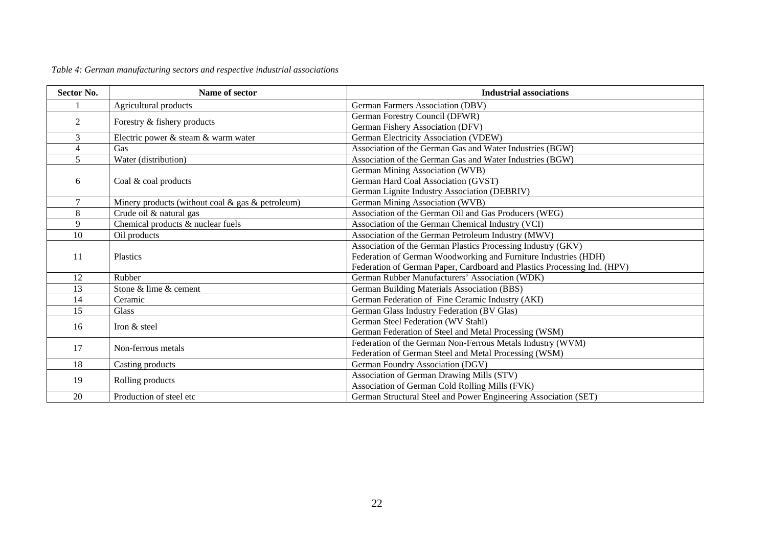*Table 4: German manufacturing sectors and respective industrial associations* 

| Sector No.     | Name of sector                                   | <b>Industrial associations</b>                                           |
|----------------|--------------------------------------------------|--------------------------------------------------------------------------|
|                | Agricultural products                            | German Farmers Association (DBV)                                         |
|                |                                                  | German Forestry Council (DFWR)                                           |
| 2              | Forestry & fishery products                      | German Fishery Association (DFV)                                         |
| 3              | Electric power & steam & warm water              | German Electricity Association (VDEW)                                    |
| $\overline{4}$ | Gas                                              | Association of the German Gas and Water Industries (BGW)                 |
| $5^{\circ}$    | Water (distribution)                             | Association of the German Gas and Water Industries (BGW)                 |
|                |                                                  | German Mining Association (WVB)                                          |
| 6              | Coal & coal products                             | German Hard Coal Association (GVST)                                      |
|                |                                                  | German Lignite Industry Association (DEBRIV)                             |
| $\tau$         | Minery products (without coal & gas & petroleum) | German Mining Association (WVB)                                          |
| 8              | Crude oil & natural gas                          | Association of the German Oil and Gas Producers (WEG)                    |
| 9              | Chemical products & nuclear fuels                | Association of the German Chemical Industry (VCI)                        |
| 10             | Oil products                                     | Association of the German Petroleum Industry (MWV)                       |
|                |                                                  | Association of the German Plastics Processing Industry (GKV)             |
| 11             | Plastics                                         | Federation of German Woodworking and Furniture Industries (HDH)          |
|                |                                                  | Federation of German Paper, Cardboard and Plastics Processing Ind. (HPV) |
| 12             | Rubber                                           | German Rubber Manufacturers' Association (WDK)                           |
| 13             | Stone & lime & cement                            | German Building Materials Association (BBS)                              |
| 14             | Ceramic                                          | German Federation of Fine Ceramic Industry (AKI)                         |
| 15             | Glass                                            | German Glass Industry Federation (BV Glas)                               |
| 16             |                                                  | German Steel Federation (WV Stahl)                                       |
|                | Iron & steel                                     | German Federation of Steel and Metal Processing (WSM)                    |
| 17             | Non-ferrous metals                               | Federation of the German Non-Ferrous Metals Industry (WVM)               |
|                |                                                  | Federation of German Steel and Metal Processing (WSM)                    |
| 18             | Casting products                                 | German Foundry Association (DGV)                                         |
| 19             | Rolling products                                 | Association of German Drawing Mills (STV)                                |
|                |                                                  | Association of German Cold Rolling Mills (FVK)                           |
| 20             | Production of steel etc                          | German Structural Steel and Power Engineering Association (SET)          |